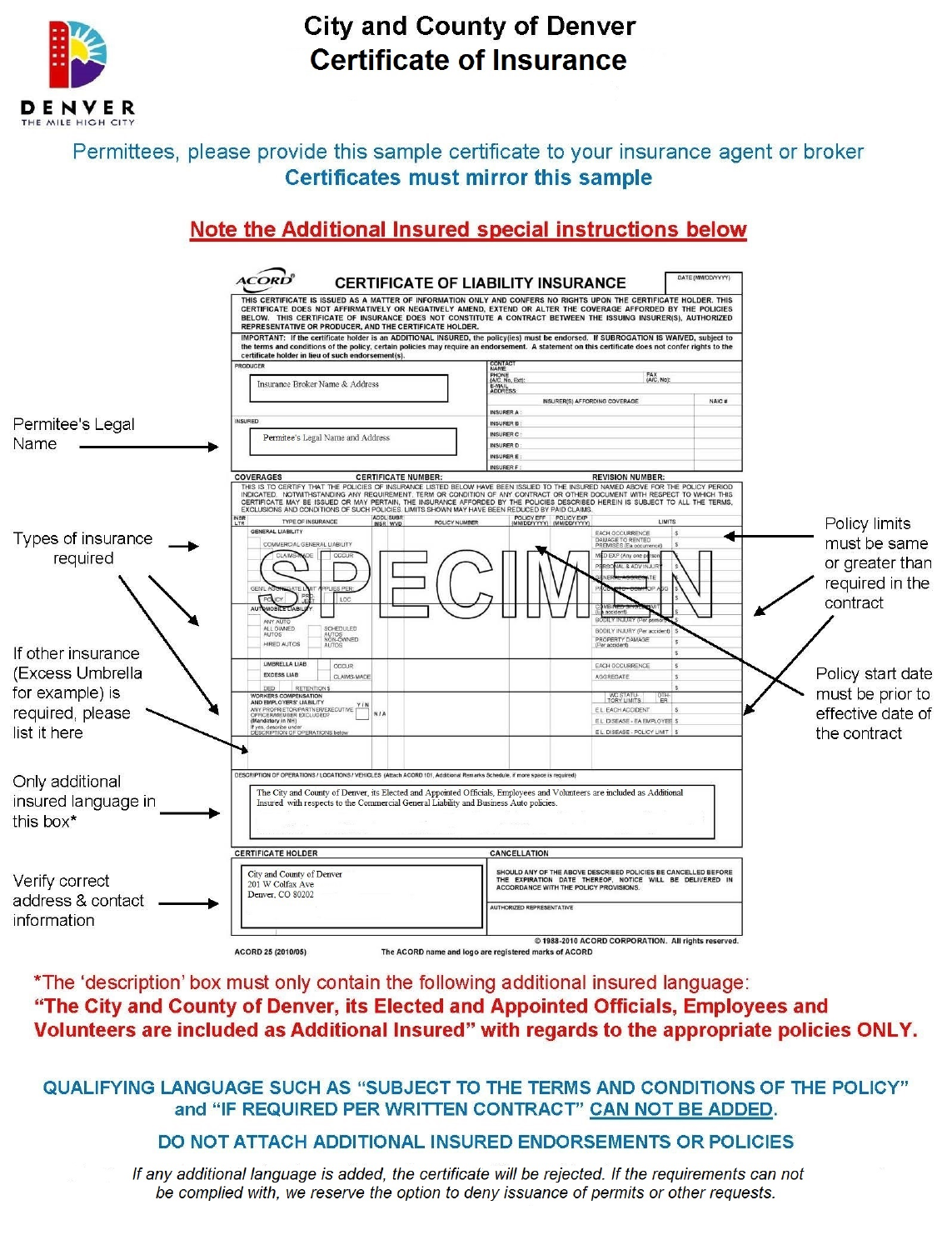

# **City and County of Denver Certificate of Insurance**

## Permittees, please provide this sample certificate to your insurance agent or broker **Certificates must mirror this sample**

## Note the Additional Insured special instructions below



\*The 'description' box must only contain the following additional insured language: "The City and County of Denver, its Elected and Appointed Officials, Employees and Volunteers are included as Additional Insured" with regards to the appropriate policies ONLY.

#### **QUALIFYING LANGUAGE SUCH AS "SUBJECT TO THE TERMS AND CONDITIONS OF THE POLICY"** and "IF REQUIRED PER WRITTEN CONTRACT" CAN NOT BE ADDED.

### DO NOT ATTACH ADDITIONAL INSURED ENDORSEMENTS OR POLICIES

If any additional language is added, the certificate will be rejected. If the requirements can not be complied with, we reserve the option to deny issuance of permits or other requests.